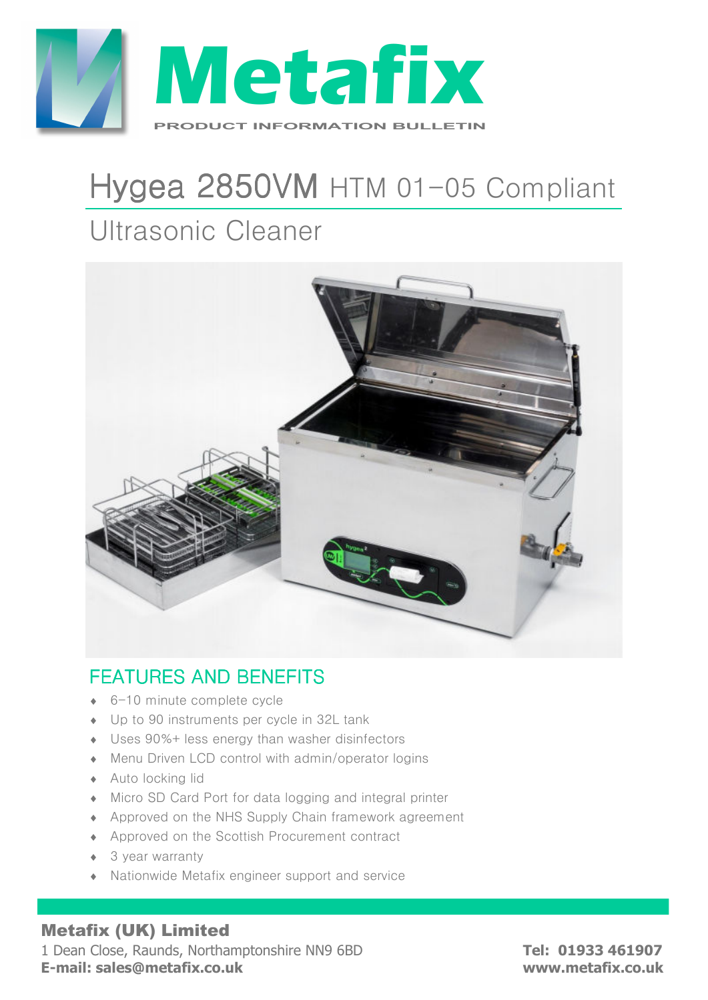

# Hygea 2850VM HTM 01-05 Compliant

# Ultrasonic Cleaner



### **FEATURES AND BENEFITS**

- ♦ 6-10 minute complete cycle
- ♦ Up to 90 instruments per cycle in 32L tank
- ♦ Uses 90%+ less energy than washer disinfectors
- ♦ Menu Driven LCD control with admin/operator logins
- ♦ Auto locking lid
- ♦ Micro SD Card Port for data logging and integral printer
- ♦ Approved on the NHS Supply Chain framework agreement
- ♦ Approved on the Scottish Procurement contract
- ◆ 3 year warranty
- ♦ Nationwide Metafix engineer support and service

#### Metafix (UK) Limited

1 Dean Close, Raunds, Northamptonshire NN9 6BD **Tel: 01933 461907 E-mail: sales@metafix.co.uk www.metafix.co.uk**